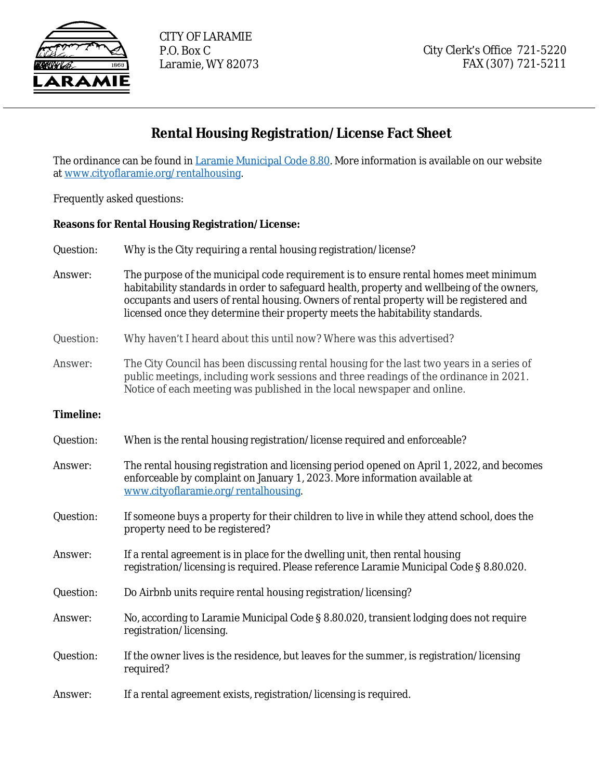

## **Rental Housing Registration/License Fact Sheet**

The ordinance can be found in Laramie Municipal Code 8.80. More information is available on our website [at](https://library.municode.com/wy/laramie/codes/code_of_ordinances?nodeId=TIT8HESA_8.80LAREHOCO) [www.cityoflaramie.org/rentalhousing.](http://www.cityoflaramie.org/rentalhousing)

[Frequently asked questions:](http://www.cityoflaramie.org/rentalhousing)

## **[Reasons for Rental Housing Registration/License:](http://www.cityoflaramie.org/rentalhousing)**

| Question:        | Why is the City requiring a rental housing registration/license?                                                                                                                                                                                                                                                                                               |  |
|------------------|----------------------------------------------------------------------------------------------------------------------------------------------------------------------------------------------------------------------------------------------------------------------------------------------------------------------------------------------------------------|--|
| Answer:          | The purpose of the municipal code requirement is to ensure rental homes meet minimum<br>habitability standards in order to safeguard health, property and wellbeing of the owners,<br>occupants and users of rental housing. Owners of rental property will be registered and<br>licensed once they determine their property meets the habitability standards. |  |
| Question:        | Why haven't I heard about this until now? Where was this advertised?                                                                                                                                                                                                                                                                                           |  |
| Answer:          | The City Council has been discussing rental housing for the last two years in a series of<br>public meetings, including work sessions and three readings of the ordinance in 2021.<br>Notice of each meeting was published in the local newspaper and online.                                                                                                  |  |
| <b>Timeline:</b> |                                                                                                                                                                                                                                                                                                                                                                |  |
| Question:        | When is the rental housing registration/license required and enforceable?                                                                                                                                                                                                                                                                                      |  |
| Answer:          | The rental housing registration and licensing period opened on April 1, 2022, and becomes<br>enforceable by complaint on January 1, 2023. More information available at<br>www.cityoflaramie.org/rentalhousing                                                                                                                                                 |  |
| Question:        | If someone buys a property for their children to live in while they attend school, does the<br>property need to be registered?                                                                                                                                                                                                                                 |  |
| Answer:          | If a rental agreement is in place for the dwelling unit, then rental housing<br>registration/licensing is required. Please reference Laramie Municipal Code § 8.80.020.                                                                                                                                                                                        |  |
| Question:        | Do Airbnb units require rental housing registration/licensing?                                                                                                                                                                                                                                                                                                 |  |
| Answer:          | No, according to Laramie Municipal Code § 8.80.020, transient lodging does not require<br>registration/licensing.                                                                                                                                                                                                                                              |  |
| Question:        | If the owner lives is the residence, but leaves for the summer, is registration/licensing<br>required?                                                                                                                                                                                                                                                         |  |
| Answer:          | If a rental agreement exists, registration/licensing is required.                                                                                                                                                                                                                                                                                              |  |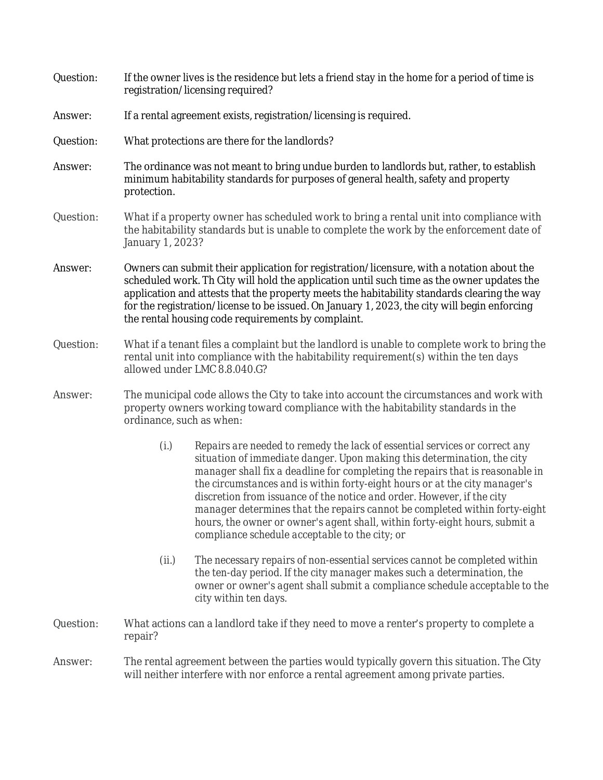| Question: | If the owner lives is the residence but lets a friend stay in the home for a period of time is<br>registration/licensing required?                                                                                                                                                                                                                                                                                                           |                                                                                                                                                                                                                                                                                                                                                                                                                                                                                                                                                                                                               |  |
|-----------|----------------------------------------------------------------------------------------------------------------------------------------------------------------------------------------------------------------------------------------------------------------------------------------------------------------------------------------------------------------------------------------------------------------------------------------------|---------------------------------------------------------------------------------------------------------------------------------------------------------------------------------------------------------------------------------------------------------------------------------------------------------------------------------------------------------------------------------------------------------------------------------------------------------------------------------------------------------------------------------------------------------------------------------------------------------------|--|
| Answer:   | If a rental agreement exists, registration/licensing is required.                                                                                                                                                                                                                                                                                                                                                                            |                                                                                                                                                                                                                                                                                                                                                                                                                                                                                                                                                                                                               |  |
| Question: | What protections are there for the landlords?                                                                                                                                                                                                                                                                                                                                                                                                |                                                                                                                                                                                                                                                                                                                                                                                                                                                                                                                                                                                                               |  |
| Answer:   | The ordinance was not meant to bring undue burden to landlords but, rather, to establish<br>minimum habitability standards for purposes of general health, safety and property<br>protection.                                                                                                                                                                                                                                                |                                                                                                                                                                                                                                                                                                                                                                                                                                                                                                                                                                                                               |  |
| Question: | What if a property owner has scheduled work to bring a rental unit into compliance with<br>the habitability standards but is unable to complete the work by the enforcement date of<br>January 1, 2023?                                                                                                                                                                                                                                      |                                                                                                                                                                                                                                                                                                                                                                                                                                                                                                                                                                                                               |  |
| Answer:   | Owners can submit their application for registration/licensure, with a notation about the<br>scheduled work. Th City will hold the application until such time as the owner updates the<br>application and attests that the property meets the habitability standards clearing the way<br>for the registration/license to be issued. On January 1, 2023, the city will begin enforcing<br>the rental housing code requirements by complaint. |                                                                                                                                                                                                                                                                                                                                                                                                                                                                                                                                                                                                               |  |
| Question: | What if a tenant files a complaint but the landlord is unable to complete work to bring the<br>rental unit into compliance with the habitability requirement(s) within the ten days<br>allowed under LMC 8.8.040.G?                                                                                                                                                                                                                          |                                                                                                                                                                                                                                                                                                                                                                                                                                                                                                                                                                                                               |  |
| Answer:   | ordinance, such as when:                                                                                                                                                                                                                                                                                                                                                                                                                     | The municipal code allows the City to take into account the circumstances and work with<br>property owners working toward compliance with the habitability standards in the                                                                                                                                                                                                                                                                                                                                                                                                                                   |  |
|           | (i.)                                                                                                                                                                                                                                                                                                                                                                                                                                         | Repairs are needed to remedy the lack of essential services or correct any<br>situation of immediate danger. Upon making this determination, the city<br>manager shall fix a deadline for completing the repairs that is reasonable in<br>the circumstances and is within forty-eight hours or at the city manager's<br>discretion from issuance of the notice and order. However, if the city<br>manager determines that the repairs cannot be completed within forty-eight<br>hours, the owner or owner's agent shall, within forty-eight hours, submit a<br>compliance schedule acceptable to the city; or |  |
|           | (ii.)                                                                                                                                                                                                                                                                                                                                                                                                                                        | The necessary repairs of non-essential services cannot be completed within<br>the ten-day period. If the city manager makes such a determination, the<br>owner or owner's agent shall submit a compliance schedule acceptable to the<br>city within ten days.                                                                                                                                                                                                                                                                                                                                                 |  |
| Question: | What actions can a landlord take if they need to move a renter's property to complete a<br>repair?                                                                                                                                                                                                                                                                                                                                           |                                                                                                                                                                                                                                                                                                                                                                                                                                                                                                                                                                                                               |  |
| Answer:   | The rental agreement between the parties would typically govern this situation. The City<br>will neither interfere with nor enforce a rental agreement among private parties.                                                                                                                                                                                                                                                                |                                                                                                                                                                                                                                                                                                                                                                                                                                                                                                                                                                                                               |  |